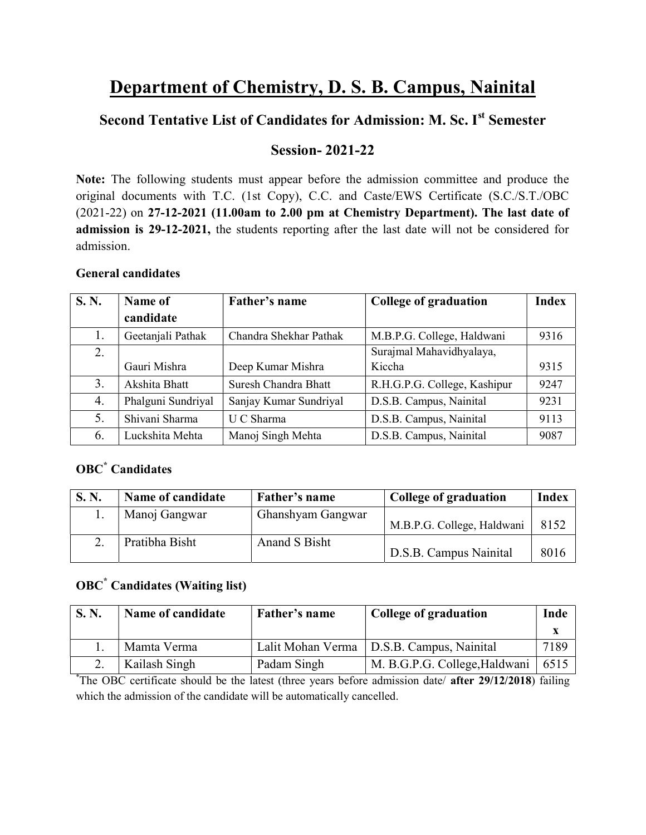# Department of Chemistry, D. S. B. Campus, Nainital

## Second Tentative List of Candidates for Admission: M. Sc. Ist Semester

## Session- 2021-22

Note: The following students must appear before the admission committee and produce the original documents with T.C. (1st Copy), C.C. and Caste/EWS Certificate (S.C./S.T./OBC (2021-22) on 27-12-2021 (11.00am to 2.00 pm at Chemistry Department). The last date of admission is 29-12-2021, the students reporting after the last date will not be considered for admission.

### General candidates

| <b>S. N.</b> | Name of            | Father's name          | <b>College of graduation</b> | <b>Index</b> |
|--------------|--------------------|------------------------|------------------------------|--------------|
|              | candidate          |                        |                              |              |
| 1.           | Geetanjali Pathak  | Chandra Shekhar Pathak | M.B.P.G. College, Haldwani   | 9316         |
| 2.           |                    |                        | Surajmal Mahavidhyalaya,     |              |
|              | Gauri Mishra       | Deep Kumar Mishra      | Kiccha                       | 9315         |
| 3.           | Akshita Bhatt      | Suresh Chandra Bhatt   | R.H.G.P.G. College, Kashipur | 9247         |
| 4.           | Phalguni Sundriyal | Sanjay Kumar Sundriyal | D.S.B. Campus, Nainital      | 9231         |
| 5.           | Shivani Sharma     | U C Sharma             | D.S.B. Campus, Nainital      | 9113         |
| 6.           | Luckshita Mehta    | Manoj Singh Mehta      | D.S.B. Campus, Nainital      | 9087         |

## OBC\* Candidates

| <b>S. N.</b> | Name of candidate | Father's name     | College of graduation      | <b>Index</b> |
|--------------|-------------------|-------------------|----------------------------|--------------|
|              | Manoj Gangwar     | Ghanshyam Gangwar | M.B.P.G. College, Haldwani | 8152         |
|              | Pratibha Bisht    | Anand S Bisht     | D.S.B. Campus Nainital     | 8016         |

## OBC\* Candidates (Waiting list)

| <b>S. N.</b> | Name of candidate | Father's name | <b>College of graduation</b>                | Inde |
|--------------|-------------------|---------------|---------------------------------------------|------|
|              |                   |               |                                             |      |
|              | Mamta Verma       |               | Lalit Mohan Verma   D.S.B. Campus, Nainital | 7189 |
|              | Kailash Singh     | Padam Singh   | M. B.G.P.G. College, Haldwani               | 6515 |

<sup>\*</sup>The OBC certificate should be the latest (three years before admission date/ **after 29/12/2018**) failing which the admission of the candidate will be automatically cancelled.